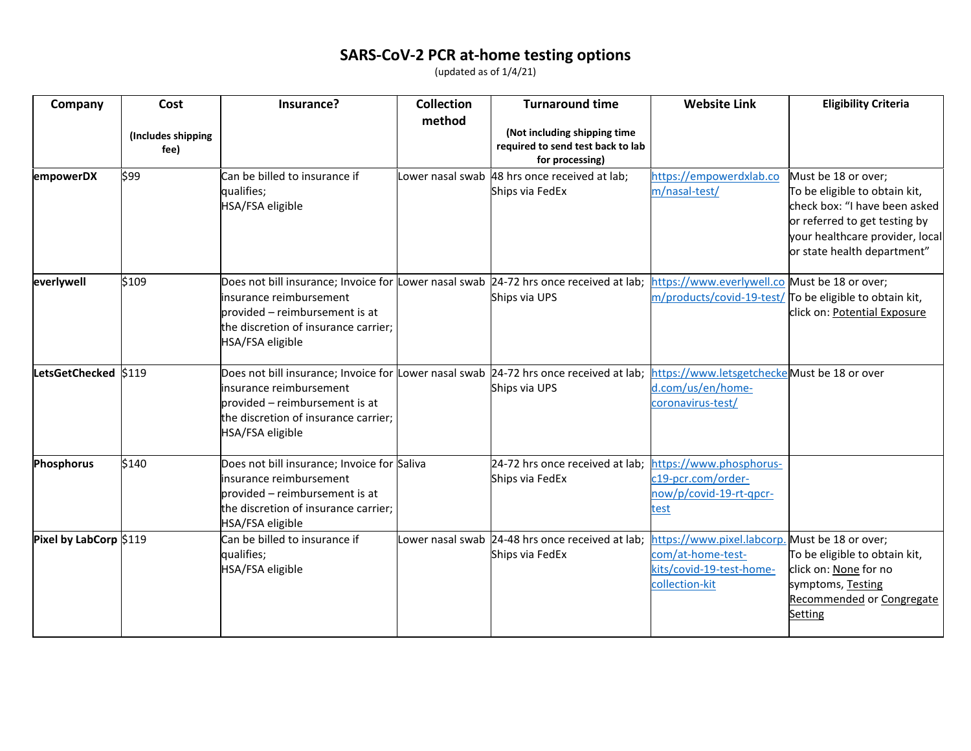## **SARS-CoV-2 PCR at-home testing options**

(updated as of 1/4/21)

| Company                | Cost                       | Insurance?                                                                                                                                                                                                      | <b>Collection</b> | <b>Turnaround time</b>                                                               | <b>Website Link</b>                                                                                               | <b>Eligibility Criteria</b>                                                                                                                                                              |
|------------------------|----------------------------|-----------------------------------------------------------------------------------------------------------------------------------------------------------------------------------------------------------------|-------------------|--------------------------------------------------------------------------------------|-------------------------------------------------------------------------------------------------------------------|------------------------------------------------------------------------------------------------------------------------------------------------------------------------------------------|
|                        | (Includes shipping<br>fee) |                                                                                                                                                                                                                 | method            | (Not including shipping time<br>required to send test back to lab<br>for processing) |                                                                                                                   |                                                                                                                                                                                          |
| empowerDX              | \$99                       | Can be billed to insurance if<br>qualifies;<br>HSA/FSA eligible                                                                                                                                                 | Lower nasal swab  | 48 hrs once received at lab;<br>Ships via FedEx                                      | https://empowerdxlab.co<br>m/nasal-test/                                                                          | Must be 18 or over;<br>To be eligible to obtain kit,<br>check box: "I have been asked<br>or referred to get testing by<br>your healthcare provider, local<br>or state health department" |
| everlywell             | \$109                      | Does not bill insurance; Invoice for Lower nasal swab 24-72 hrs once received at lab;<br>insurance reimbursement<br>provided – reimbursement is at<br>the discretion of insurance carrier;<br>HSA/FSA eligible  |                   | Ships via UPS                                                                        | https://www.everlywell.co Must be 18 or over;<br>m/products/covid-19-test/ To be eligible to obtain kit,          | click on: Potential Exposure                                                                                                                                                             |
| LetsGetChecked \$119   |                            | Does not bill insurance; Invoice for Lower nasal swab 24-72 hrs once received at lab;<br>insurance reimbursement<br>lprovided – reimbursement is at<br>the discretion of insurance carrier;<br>HSA/FSA eligible |                   | Ships via UPS                                                                        | https://www.letsgetcheckeMust be 18 or over<br>d.com/us/en/home-<br>coronavirus-test/                             |                                                                                                                                                                                          |
| <b>Phosphorus</b>      | \$140                      | Does not bill insurance; Invoice for Saliva<br>insurance reimbursement<br>provided - reimbursement is at<br>the discretion of insurance carrier;<br>HSA/FSA eligible                                            |                   | 24-72 hrs once received at lab;<br>Ships via FedEx                                   | https://www.phosphorus-<br>c19-pcr.com/order-<br>now/p/covid-19-rt-qpcr-<br>test                                  |                                                                                                                                                                                          |
| Pixel by LabCorp \$119 |                            | Can be billed to insurance if<br>qualifies;<br>HSA/FSA eligible                                                                                                                                                 |                   | Lower nasal swab 24-48 hrs once received at lab;<br>Ships via FedEx                  | https://www.pixel.labcorp. Must be 18 or over;<br>com/at-home-test-<br>kits/covid-19-test-home-<br>collection-kit | To be eligible to obtain kit,<br>click on: None for no<br>symptoms, Testing<br>Recommended or Congregate<br>Setting                                                                      |